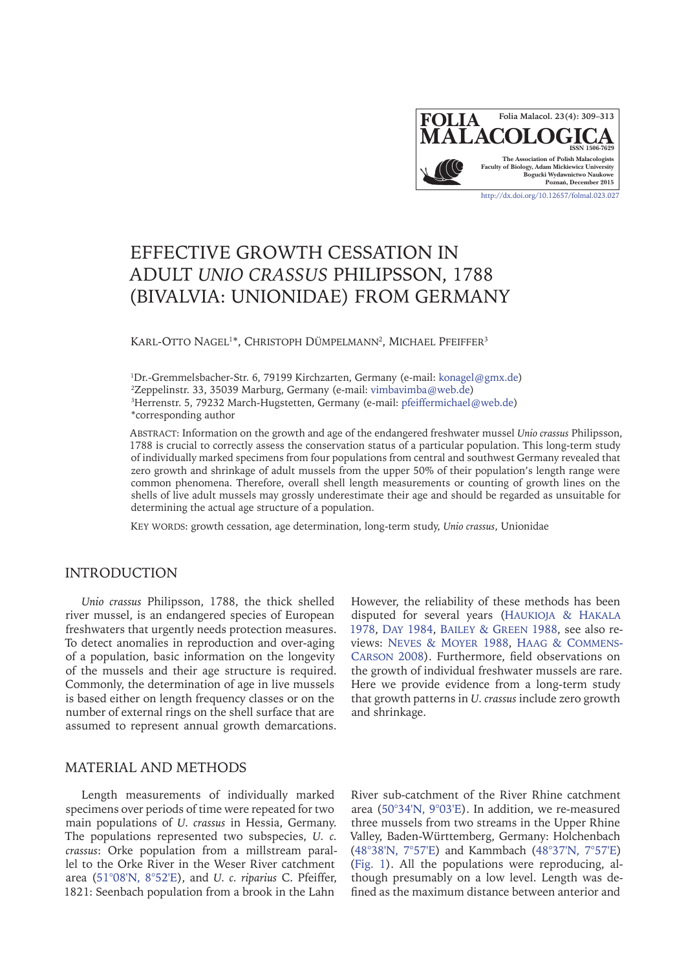

# EFFECTIVE GROWTH CESSATION IN ADULT *UNIO CRASSUS* PHILIPSSON, 1788 (BIVALVIA: UNIONIDAE) FROM GERMANY

Karl-Otto Nagel<sup>1</sup>\*, Christoph Dümpelmann<sup>2</sup>, Michael Pfeiffer<sup>3</sup>

 Dr.-Gremmelsbacher-Str. 6, 79199 Kirchzarten, Germany (e-mail: [konagel@gmx.de](mailto:konagel%40gmx.de?subject=Folia%20Malacologica)) Zeppelinstr. 33, 35039 Marburg, Germany (e-mail: [vimbavimba@web.de](mailto:vimbavimba%40web.de?subject=Folia%20Malacologica)) Herrenstr. 5, 79232 March-Hugstetten, Germany (e-mail: [pfeiffermichael@web.de](mailto:pfeiffermichael%40web.de?subject=Folia%20Malacologica)) \*corresponding author

Abstract: Information on the growth and age of the endangered freshwater mussel *Unio crassus* Philipsson, 1788 is crucial to correctly assess the conservation status of a particular population. This long-term study of individually marked specimens from four populations from central and southwest Germany revealed that zero growth and shrinkage of adult mussels from the upper 50% of their population's length range were common phenomena. Therefore, overall shell length measurements or counting of growth lines on the shells of live adult mussels may grossly underestimate their age and should be regarded as unsuitable for determining the actual age structure of a population.

Key words: growth cessation, age determination, long-term study, *Unio crassus*, Unionidae

## INTRODUCTION

*Unio crassus* Philipsson, 1788, the thick shelled river mussel, is an endangered species of European freshwaters that urgently needs protection measures. To detect anomalies in reproduction and over-aging of a population, basic information on the longevity of the mussels and their age structure is required. Commonly, the determination of age in live mussels is based either on length frequency classes or on the number of external rings on the shell surface that are assumed to represent annual growth demarcations.

However, the reliability of these methods has been disputed for several years ([Haukioja & Hakala](#page-4-0) [1978,](#page-4-0) Day [1984,](#page-3-0) [Bailey & Green](#page-3-1) 1988, see also reviews: [Neves & Moyer](#page-4-1) 1988, [Haag & Commens-](#page-4-2)Carson [2008](#page-4-2)). Furthermore, field observations on the growth of individual freshwater mussels are rare. Here we provide evidence from a long-term study that growth patterns in *U. crassus* include zero growth and shrinkage.

### MATERIAL AND METHODS

Length measurements of individually marked specimens over periods of time were repeated for two main populations of *U. crassus* in Hessia, Germany. The populations represented two subspecies, *U. c. crassus*: Orke population from a millstream parallel to the Orke River in the Weser River catchment area ([51°08'N, 8°52'E](https://goo.gl/maps/v4xByXnChFE2)), and *U. c. riparius* C. Pfeiffer, 1821: Seenbach population from a brook in the Lahn

River sub-catchment of the River Rhine catchment area [\(50°34'N, 9°03'E](https://goo.gl/maps/iseEQgqN8D82)). In addition, we re-measured three mussels from two streams in the Upper Rhine Valley, Baden-Württemberg, Germany: Holchenbach ([48°38'N, 7°57'E](https://goo.gl/maps/BhXJiicAoA52)) and Kammbach ([48°37'N, 7°57'E](https://goo.gl/maps/7o9zbqGde5E2)) ([Fig. 1](#page-1-0)). All the populations were reproducing, although presumably on a low level. Length was defined as the maximum distance between anterior and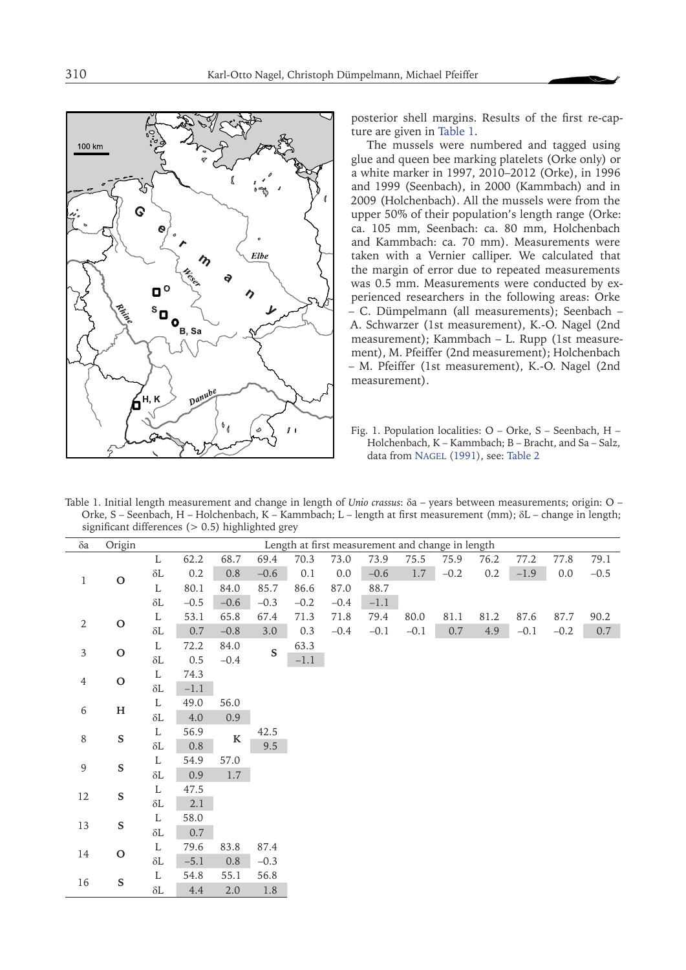<span id="page-1-0"></span>

posterior shell margins. Results of the first re-capture are given in Table 1.

The mussels were numbered and tagged using glue and queen bee marking platelets (Orke only) or a white marker in 1997, 2010–2012 (Orke), in 1996 and 1999 (Seenbach), in 2000 (Kammbach) and in 2009 (Holchenbach). All the mussels were from the upper 50% of their population's length range (Orke: ca. 105 mm, Seenbach: ca. 80 mm, Holchenbach and Kammbach: ca. 70 mm). Measurements were taken with a Vernier calliper. We calculated that the margin of error due to repeated measurements was 0.5 mm. Measurements were conducted by experienced researchers in the following areas: Orke – C. Dümpelmann (all measurements); Seenbach – A. Schwarzer (1st measurement), K.-O. Nagel (2nd measurement); Kammbach – L. Rupp (1st measurement), M. Pfeiffer (2nd measurement); Holchenbach – M. Pfeiffer (1st measurement), K.-O. Nagel (2nd measurement).

Fig. 1. Population localities: O – Orke, S – Seenbach, H – Holchenbach, K – Kammbach; B – Bracht, and Sa – Salz, data from NAGEL (1991), see: [Table 2](#page-2-0)

Table 1. Initial length measurement and change in length of *Unio crassus*: δa – years between measurements; origin: O – Orke, S – Seenbach, H – Holchenbach, K – Kammbach; L – length at first measurement (mm); δL – change in length; significant differences  $(> 0.5)$  highlighted grey

| $\delta a$       | Origin        | Length at first measurement and change in length |         |         |             |        |        |        |         |         |         |        |         |         |
|------------------|---------------|--------------------------------------------------|---------|---------|-------------|--------|--------|--------|---------|---------|---------|--------|---------|---------|
| $\mathbf{1}$     | $\mathbf O$   | L                                                | 62.2    | 68.7    | 69.4        | 70.3   | 73.0   | 73.9   | 75.5    | 75.9    | 76.2    | 77.2   | 77.8    | 79.1    |
|                  |               | $\delta L$                                       | $0.2\,$ | $0.8\,$ | $-0.6$      | 0.1    | 0.0    | $-0.6$ | $1.7\,$ | $-0.2$  | $0.2\,$ | $-1.9$ | $0.0\,$ | $-0.5$  |
|                  |               | $\mathbf L$                                      | 80.1    | 84.0    | 85.7        | 86.6   | 87.0   | 88.7   |         |         |         |        |         |         |
|                  |               | $\delta L$                                       | $-0.5$  | $-0.6$  | $-0.3$      | $-0.2$ | $-0.4$ | $-1.1$ |         |         |         |        |         |         |
| $\sqrt{2}$       | $\mathbf O$   | $\mathbf L$                                      | 53.1    | 65.8    | 67.4        | 71.3   | 71.8   | 79.4   | 80.0    | 81.1    | 81.2    | 87.6   | 87.7    | 90.2    |
|                  |               | $\delta L$                                       | $0.7\,$ | $-0.8$  | $3.0\,$     | 0.3    | $-0.4$ | $-0.1$ | $-0.1$  | $0.7\,$ | 4.9     | $-0.1$ | $-0.2$  | $0.7\,$ |
| $\mathfrak{Z}$   | $\mathbf O$   | L                                                | 72.2    | 84.0    | $\mathbf S$ | 63.3   |        |        |         |         |         |        |         |         |
|                  |               | $\delta L$                                       | $0.5\,$ | $-0.4$  |             | $-1.1$ |        |        |         |         |         |        |         |         |
| $\overline{4}$   | $\mathbf O$   | $\mathbf L$                                      | 74.3    |         |             |        |        |        |         |         |         |        |         |         |
|                  |               | $\delta L$                                       | $-1.1$  |         |             |        |        |        |         |         |         |        |         |         |
| $\,$ 6 $\,$      | $\mathbf H$   | L                                                | 49.0    | 56.0    |             |        |        |        |         |         |         |        |         |         |
|                  |               | $\delta L$                                       | 4.0     | 0.9     |             |        |        |        |         |         |         |        |         |         |
| $\,8\,$          | $\mathbf S$   | L                                                | 56.9    | $\bf K$ | 42.5        |        |        |        |         |         |         |        |         |         |
|                  |               | $\delta L$                                       | $0.8\,$ |         | 9.5         |        |        |        |         |         |         |        |         |         |
| $\boldsymbol{9}$ | $\mathbf S$   | L                                                | 54.9    | 57.0    |             |        |        |        |         |         |         |        |         |         |
|                  |               | $\delta L$                                       | $0.9\,$ | 1.7     |             |        |        |        |         |         |         |        |         |         |
| 12               | $\mathbf S$   | $\mathbf L$                                      | 47.5    |         |             |        |        |        |         |         |         |        |         |         |
|                  |               | $\delta L$                                       | 2.1     |         |             |        |        |        |         |         |         |        |         |         |
| 13               | ${\mathbf S}$ | $\mathbf L$                                      | 58.0    |         |             |        |        |        |         |         |         |        |         |         |
|                  |               | $\delta L$                                       | 0.7     |         |             |        |        |        |         |         |         |        |         |         |
| 14               | $\mathbf O$   | $\mathbf L$                                      | 79.6    | 83.8    | 87.4        |        |        |        |         |         |         |        |         |         |
|                  |               | $\delta L$                                       | $-5.1$  | 0.8     | $-0.3$      |        |        |        |         |         |         |        |         |         |
| 16               | ${\mathbb S}$ | L                                                | 54.8    | 55.1    | 56.8        |        |        |        |         |         |         |        |         |         |
|                  |               | $\delta L$                                       | 4.4     | $2.0\,$ | $1.8\,$     |        |        |        |         |         |         |        |         |         |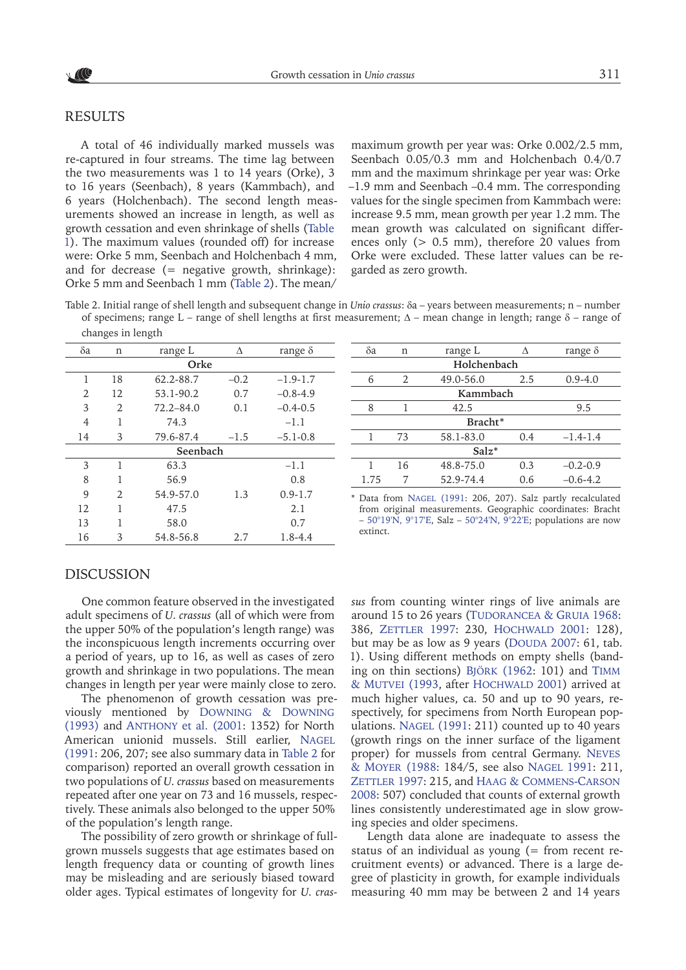#### <span id="page-2-0"></span>RESULTS

A total of 46 individually marked mussels was re-captured in four streams. The time lag between the two measurements was 1 to 14 years (Orke), 3 to 16 years (Seenbach), 8 years (Kammbach), and 6 years (Holchenbach). The second length measurements showed an increase in length, as well as growth cessation and even shrinkage of shells [\(Table](#page-1-0)  [1](#page-1-0)). The maximum values (rounded off) for increase were: Orke 5 mm, Seenbach and Holchenbach 4 mm, and for decrease  $(=$  negative growth, shrinkage): Orke 5 mm and Seenbach 1 mm (Table 2). The mean/

maximum growth per year was: Orke 0.002/2.5 mm, Seenbach 0.05/0.3 mm and Holchenbach 0.4/0.7 mm and the maximum shrinkage per year was: Orke –1.9 mm and Seenbach –0.4 mm. The corresponding values for the single specimen from Kammbach were: increase 9.5 mm, mean growth per year 1.2 mm. The mean growth was calculated on significant differences only (> 0.5 mm), therefore 20 values from Orke were excluded. These latter values can be regarded as zero growth.

Table 2. Initial range of shell length and subsequent change in *Unio crassus*: δa – years between measurements; n – number of specimens; range L – range of shell lengths at first measurement;  $Δ$  – mean change in length; range  $δ$  – range of changes in length

| δa       | n                     | range L       | Δ      | range $\delta$ |  |  |  |  |  |
|----------|-----------------------|---------------|--------|----------------|--|--|--|--|--|
| Orke     |                       |               |        |                |  |  |  |  |  |
| 1        | 18                    | 62.2-88.7     | $-0.2$ | $-1.9 - 1.7$   |  |  |  |  |  |
| 2        | 12                    | 53.1-90.2     | 0.7    | $-0.8 - 4.9$   |  |  |  |  |  |
| 3        | $\overline{2}$        | $72.2 - 84.0$ | 0.1    | $-0.4-0.5$     |  |  |  |  |  |
| 4        | 1                     | 74.3          |        | $-1.1$         |  |  |  |  |  |
| 14       | 3                     | 79.6-87.4     | $-1.5$ | $-5.1 - 0.8$   |  |  |  |  |  |
| Seenbach |                       |               |        |                |  |  |  |  |  |
| 3        | 1                     | 63.3          |        | $-1.1$         |  |  |  |  |  |
| 8        | 1                     | 56.9          |        | 0.8            |  |  |  |  |  |
| 9        | $\mathcal{D}_{\cdot}$ | 54.9-57.0     | 1.3    | $0.9 - 1.7$    |  |  |  |  |  |
| 12       | 1                     | 47.5          |        | 2.1            |  |  |  |  |  |
| 13       | 1                     | 58.0          |        | 0.7            |  |  |  |  |  |
| 16       | 3                     | 54.8-56.8     | 2.7    | $1.8 - 4.4$    |  |  |  |  |  |

| $\delta$ a  | n  | range L     | Л   | range $\delta$ |  |  |  |  |  |
|-------------|----|-------------|-----|----------------|--|--|--|--|--|
| Holchenbach |    |             |     |                |  |  |  |  |  |
| 6           | 2  | $0.9 - 4.0$ |     |                |  |  |  |  |  |
| Kammbach    |    |             |     |                |  |  |  |  |  |
| 8           |    | 42.5        |     | 9.5            |  |  |  |  |  |
| Bracht*     |    |             |     |                |  |  |  |  |  |
|             | 73 | 58.1-83.0   | 0.4 | $-1.4-1.4$     |  |  |  |  |  |
| $Salz^*$    |    |             |     |                |  |  |  |  |  |
|             | 16 | 48.8-75.0   | 0.3 | $-0.2 - 0.9$   |  |  |  |  |  |
| 1.75        |    | 52.9-74.4   | 0.6 | $-0.6 - 4.2$   |  |  |  |  |  |
|             |    |             |     |                |  |  |  |  |  |

\* Data from Nagel (1991: 206, 207). Salz partly recalculated from original measurements. Geographic coordinates: Bracht – [50°19'N, 9°17'E](https://goo.gl/maps/gE6Q82cA6Vt), Salz – [50°24'N, 9°22'E](https://goo.gl/maps/qFxymxB6My42); populations are now extinct.

#### DISCUSSION

One common feature observed in the investigated adult specimens of *U. crassus* (all of which were from the upper 50% of the population's length range) was the inconspicuous length increments occurring over a period of years, up to 16, as well as cases of zero growth and shrinkage in two populations. The mean changes in length per year were mainly close to zero.

The phenomenon of growth cessation was previously mentioned by [Downing & Downing](#page-4-3) [\(1993\)](#page-4-3) and Anthony [et al. \(2001](#page-3-2): 1352) for North American unionid mussels. Still earlier, Nagel (1991: 206, 207; see also summary data in Table 2 for comparison) reported an overall growth cessation in two populations of *U. crassus* based on measurements repeated after one year on 73 and 16 mussels, respectively. These animals also belonged to the upper 50% of the population's length range.

The possibility of zero growth or shrinkage of fullgrown mussels suggests that age estimates based on length frequency data or counting of growth lines may be misleading and are seriously biased toward older ages. Typical estimates of longevity for *U. cras-*

*sus* from counting winter rings of live animals are around 15 to 26 years (TUDORANCEA & GRUIA 1968: 386, [Zettler](#page-4-5) 1997: 230, Hochwald 2001: 128), but may be as low as 9 years (DOUDA 2007: 61, tab. 1). Using different methods on empty shells (banding on thin sections) Björk (1962: 101) and [Timm](#page-4-6) & MUTVEI (1993, after HOCHWALD 2001) arrived at much higher values, ca. 50 and up to 90 years, respectively, for specimens from North European populations. NAGEL (1991: 211) counted up to 40 years (growth rings on the inner surface of the ligament proper) for mussels from central Germany. NEVES [& Moyer](#page-4-1) (1988: 184/5, see also Nagel 1991: 211, ZETTLER 1997: 215, and HAAG & COMMENS-CARSON [2008](#page-4-2): 507) concluded that counts of external growth lines consistently underestimated age in slow growing species and older specimens.

Length data alone are inadequate to assess the status of an individual as young  $($  = from recent recruitment events) or advanced. There is a large degree of plasticity in growth, for example individuals measuring 40 mm may be between 2 and 14 years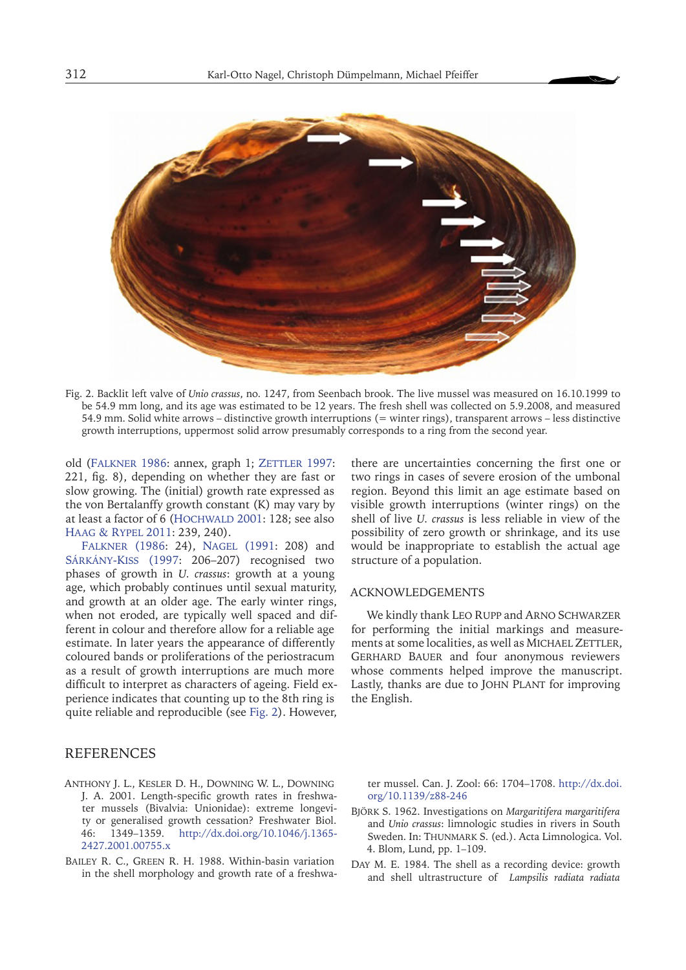

Fig. 2. Backlit left valve of *Unio crassus*, no. 1247, from Seenbach brook. The live mussel was measured on 16.10.1999 to be 54.9 mm long, and its age was estimated to be 12 years. The fresh shell was collected on 5.9.2008, and measured 54.9 mm. Solid white arrows – distinctive growth interruptions (= winter rings), transparent arrows – less distinctive growth interruptions, uppermost solid arrow presumably corresponds to a ring from the second year.

old (FALKNER 1986: annex, graph 1; ZETTLER 1997: 221, fig. 8), depending on whether they are fast or slow growing. The (initial) growth rate expressed as the von Bertalanffy growth constant (K) may vary by at least a factor of 6 (HOCHWALD 2001: 128; see also [Haag & Rypel](#page-4-8) 2011: 239, 240).

[Falkner](#page-4-7) (1986: 24), Nagel (1991: 208) and Sárkány-Kiss (1997: 206–207) recognised two phases of growth in *U. crassus*: growth at a young age, which probably continues until sexual maturity, and growth at an older age. The early winter rings, when not eroded, are typically well spaced and different in colour and therefore allow for a reliable age estimate. In later years the appearance of differently coloured bands or proliferations of the periostracum as a result of growth interruptions are much more difficult to interpret as characters of ageing. Field experience indicates that counting up to the 8th ring is quite reliable and reproducible (see Fig. 2). However,

## REFERENCES

- <span id="page-3-2"></span>Anthony J. L., Kesler D. H., Downing W. L., Downing J. A. 2001. Length-specific growth rates in freshwater mussels (Bivalvia: Unionidae): extreme longevity or generalised growth cessation? Freshwater Biol. 46: 1349–1359. [http://dx.doi.org/10.1046/j.1365-](http://dx.doi.org/10.1046/j.1365-2427.2001.00755.x) [2427.2001.00755.x](http://dx.doi.org/10.1046/j.1365-2427.2001.00755.x)
- <span id="page-3-1"></span>Bailey R. C., Green R. H. 1988. Within-basin variation in the shell morphology and growth rate of a freshwa-

there are uncertainties concerning the first one or two rings in cases of severe erosion of the umbonal region. Beyond this limit an age estimate based on visible growth interruptions (winter rings) on the shell of live *U. crassus* is less reliable in view of the possibility of zero growth or shrinkage, and its use would be inappropriate to establish the actual age structure of a population.

#### ACKNOWLEDGEMENTS

We kindly thank LEO RUPP and ARNO SCHWARZER for performing the initial markings and measurements at some localities, as well as MICHAEL ZETTLER, Gerhard Bauer and four anonymous reviewers whose comments helped improve the manuscript. Lastly, thanks are due to John Plant for improving the English.

ter mussel. Can. J. Zool: 66: 1704–1708. [http://dx.doi.](http://dx.doi.org/10.1139/z88-246) [org/10.1139/z88-246](http://dx.doi.org/10.1139/z88-246)

- Björk S. 1962. Investigations on *Margaritifera margaritifera* and *Unio crassus*: limnologic studies in rivers in South Sweden. In: THUNMARK S. (ed.). Acta Limnologica. Vol. 4. Blom, Lund, pp. 1–109.
- <span id="page-3-0"></span>Day M. E. 1984. The shell as a recording device: growth and shell ultrastructure of *Lampsilis radiata radiata*